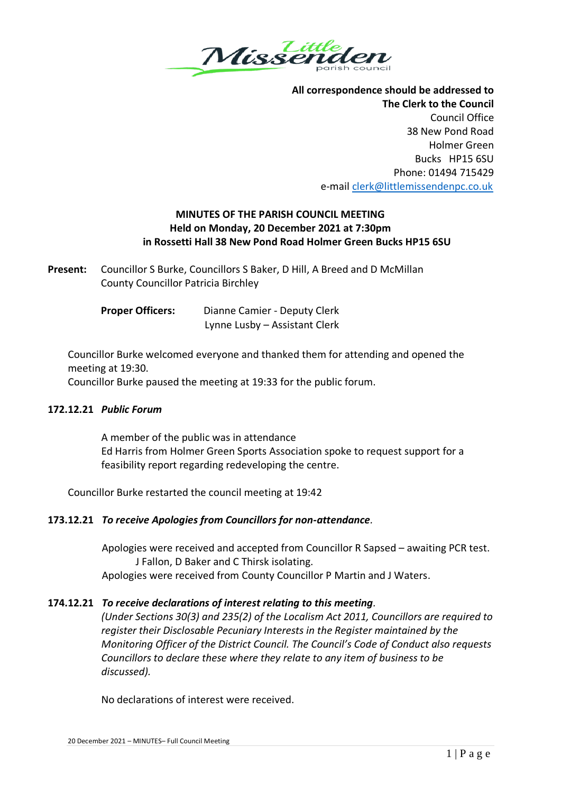

**All correspondence should be addressed to The Clerk to the Council** Council Office 38 New Pond Road Holmer Green Bucks HP15 6SU Phone: 01494 715429 e-mai[l clerk@littlemissendenpc.co.uk](mailto:clerk@littlemissendenpc.co.uk)

# **MINUTES OF THE PARISH COUNCIL MEETING Held on Monday, 20 December 2021 at 7:30pm in Rossetti Hall 38 New Pond Road Holmer Green Bucks HP15 6SU**

**Present:** Councillor S Burke, Councillors S Baker, D Hill, A Breed and D McMillan County Councillor Patricia Birchley

> **Proper Officers:** Dianne Camier - Deputy Clerk Lynne Lusby – Assistant Clerk

Councillor Burke welcomed everyone and thanked them for attending and opened the meeting at 19:30.

Councillor Burke paused the meeting at 19:33 for the public forum.

### **172.12.21** *Public Forum*

A member of the public was in attendance Ed Harris from Holmer Green Sports Association spoke to request support for a feasibility report regarding redeveloping the centre.

Councillor Burke restarted the council meeting at 19:42

# **173.12.21** *To receive Apologies from Councillors for non-attendance.*

Apologies were received and accepted from Councillor R Sapsed – awaiting PCR test. J Fallon, D Baker and C Thirsk isolating. Apologies were received from County Councillor P Martin and J Waters.

# **174.12.21** *To receive declarations of interest relating to this meeting.*

*(Under Sections 30(3) and 235(2) of the Localism Act 2011, Councillors are required to register their Disclosable Pecuniary Interests in the Register maintained by the Monitoring Officer of the District Council. The Council's Code of Conduct also requests Councillors to declare these where they relate to any item of business to be discussed).*

No declarations of interest were received.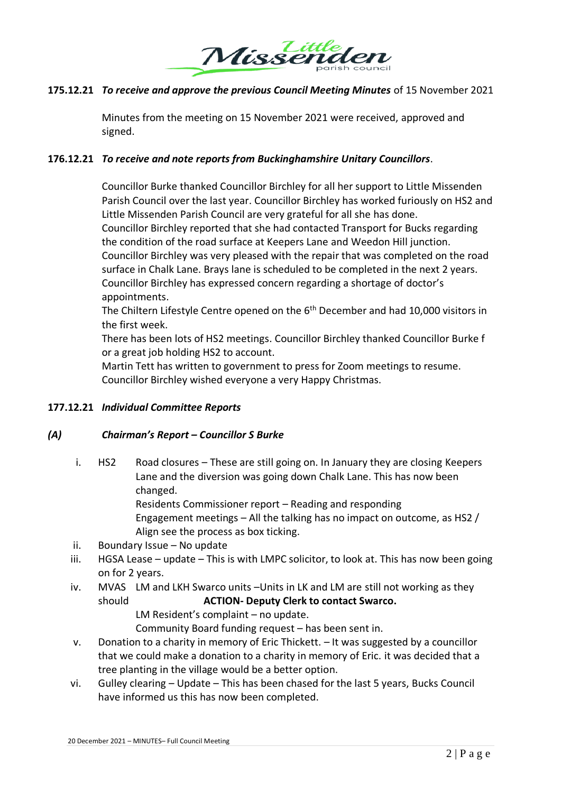

# **175.12.21** *To receive and approve the previous Council Meeting Minutes* of 15 November 2021

Minutes from the meeting on 15 November 2021 were received, approved and signed.

### **176.12.21** *To receive and note reports from Buckinghamshire Unitary Councillors*.

Councillor Burke thanked Councillor Birchley for all her support to Little Missenden Parish Council over the last year. Councillor Birchley has worked furiously on HS2 and Little Missenden Parish Council are very grateful for all she has done. Councillor Birchley reported that she had contacted Transport for Bucks regarding the condition of the road surface at Keepers Lane and Weedon Hill junction. Councillor Birchley was very pleased with the repair that was completed on the road surface in Chalk Lane. Brays lane is scheduled to be completed in the next 2 years. Councillor Birchley has expressed concern regarding a shortage of doctor's appointments.

The Chiltern Lifestyle Centre opened on the 6<sup>th</sup> December and had 10,000 visitors in the first week.

There has been lots of HS2 meetings. Councillor Birchley thanked Councillor Burke f or a great job holding HS2 to account.

Martin Tett has written to government to press for Zoom meetings to resume. Councillor Birchley wished everyone a very Happy Christmas.

### **177.12.21** *Individual Committee Reports*

### *(A) Chairman's Report – Councillor S Burke*

i. HS2 Road closures – These are still going on. In January they are closing Keepers Lane and the diversion was going down Chalk Lane. This has now been changed.

Residents Commissioner report – Reading and responding

Engagement meetings – All the talking has no impact on outcome, as HS2 / Align see the process as box ticking.

- ii. Boundary Issue No update
- iii. HGSA Lease update This is with LMPC solicitor, to look at. This has now been going on for 2 years.
- iv. MVAS LM and LKH Swarco units –Units in LK and LM are still not working as they should **ACTION- Deputy Clerk to contact Swarco.** LM Resident's complaint – no update.

Community Board funding request – has been sent in.

- v. Donation to a charity in memory of Eric Thickett. It was suggested by a councillor that we could make a donation to a charity in memory of Eric. it was decided that a tree planting in the village would be a better option.
- vi. Gulley clearing Update This has been chased for the last 5 years, Bucks Council have informed us this has now been completed.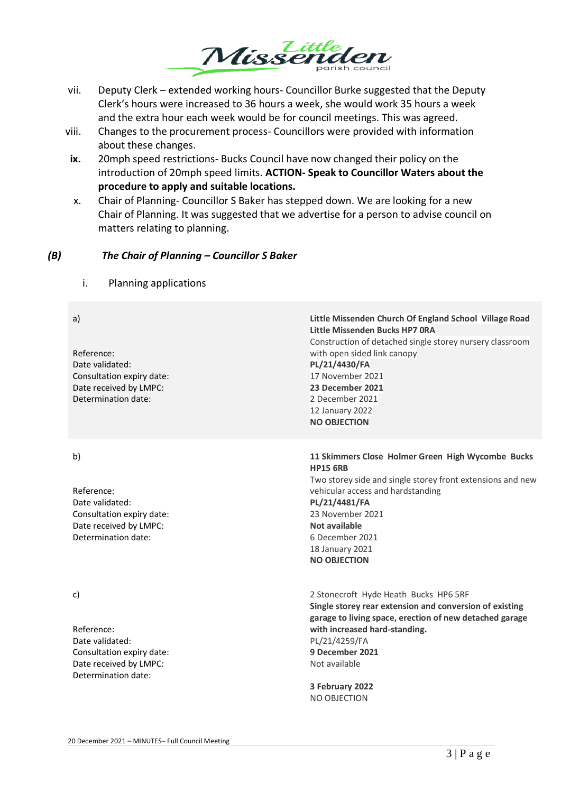

- vii. Deputy Clerk extended working hours- Councillor Burke suggested that the Deputy Clerk's hours were increased to 36 hours a week, she would work 35 hours a week and the extra hour each week would be for council meetings. This was agreed.
- viii. Changes to the procurement process- Councillors were provided with information about these changes.
- **ix.** 20mph speed restrictions- Bucks Council have now changed their policy on the introduction of 20mph speed limits. **ACTION- Speak to Councillor Waters about the procedure to apply and suitable locations.**
- x. Chair of Planning- Councillor S Baker has stepped down. We are looking for a new Chair of Planning. It was suggested that we advertise for a person to advise council on matters relating to planning.

### *(B) The Chair of Planning – Councillor S Baker*

i. Planning applications

a) Reference: Date validated: Consultation expiry date: Date received by LMPC: Determination date: **Little Missenden Church Of England School Village Road Little Missenden Bucks HP7 0RA** Construction of detached single storey nursery classroom with open sided link canopy **PL/21/4430/FA** 17 November 2021 **23 December 2021** 2 December 2021 12 January 2022 **NO OBJECTION** b) Reference: Date validated: Consultation expiry date: Date received by LMPC: Determination date: **11 Skimmers Close Holmer Green High Wycombe Bucks HP15 6RB** Two storey side and single storey front extensions and new vehicular access and hardstanding **PL/21/4481/FA** 23 November 2021 **Not available** 6 December 2021 18 January 2021 **NO OBJECTION** c) Reference: Date validated: Consultation expiry date: Date received by LMPC: Determination date: 2 Stonecroft Hyde Heath Bucks HP6 5RF **Single storey rear extension and conversion of existing garage to living space, erection of new detached garage with increased hard-standing.** PL/21/4259/FA **9 December 2021** Not available **3 February 2022** NO OBJECTION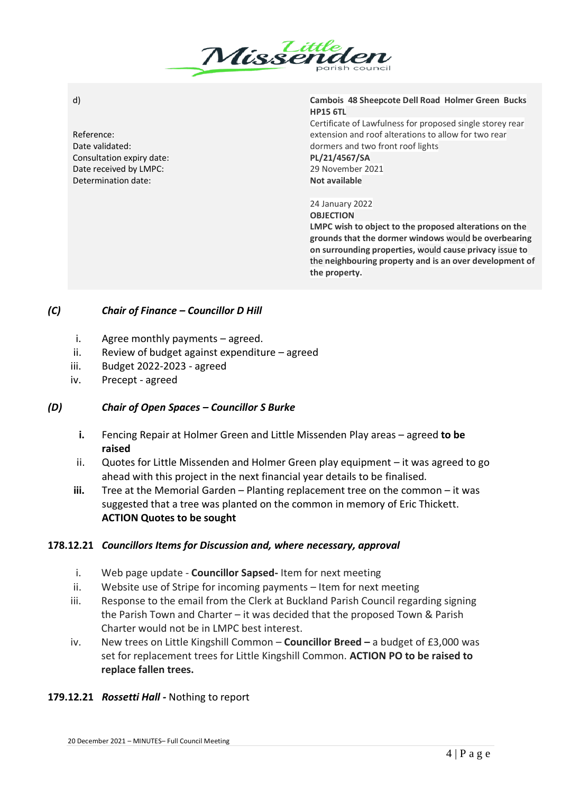

d)

Reference: Date validated: Consultation expiry date: Date received by LMPC: Determination date:

#### **Cambois 48 Sheepcote Dell Road Holmer Green Bucks HP15 6TL**

Certificate of Lawfulness for proposed single storey rear extension and roof alterations to allow for two rear dormers and two front roof lights

**PL/21/4567/SA** 29 November 2021 **Not available**

### 24 January 2022

**OBJECTION**

**LMPC wish to object to the proposed alterations on the grounds that the dormer windows** would **be overbearing on surrounding properties,** would **cause privacy** issue **to**  the **neighbouring property and is an over development of the property.**

# *(C) Chair of Finance – Councillor D Hill*

- i. Agree monthly payments agreed.
- ii. Review of budget against expenditure agreed
- iii. Budget 2022-2023 agreed
- iv. Precept agreed

# *(D) Chair of Open Spaces – Councillor S Burke*

- **i.** Fencing Repair at Holmer Green and Little Missenden Play areas agreed **to be raised**
- ii. Quotes for Little Missenden and Holmer Green play equipment it was agreed to go ahead with this project in the next financial year details to be finalised.
- **iii.** Tree at the Memorial Garden Planting replacement tree on the common it was suggested that a tree was planted on the common in memory of Eric Thickett. **ACTION Quotes to be sought**

### **178.12.21** *Councillors Items for Discussion and, where necessary, approval*

- i. Web page update **Councillor Sapsed-** Item for next meeting
- ii. Website use of Stripe for incoming payments Item for next meeting
- iii. Response to the email from the Clerk at Buckland Parish Council regarding signing the Parish Town and Charter – it was decided that the proposed Town & Parish Charter would not be in LMPC best interest.
- iv. New trees on Little Kingshill Common **Councillor Breed –** a budget of £3,000 was set for replacement trees for Little Kingshill Common. **ACTION PO to be raised to replace fallen trees.**

# **179.12.21** *Rossetti Hall -* Nothing to report